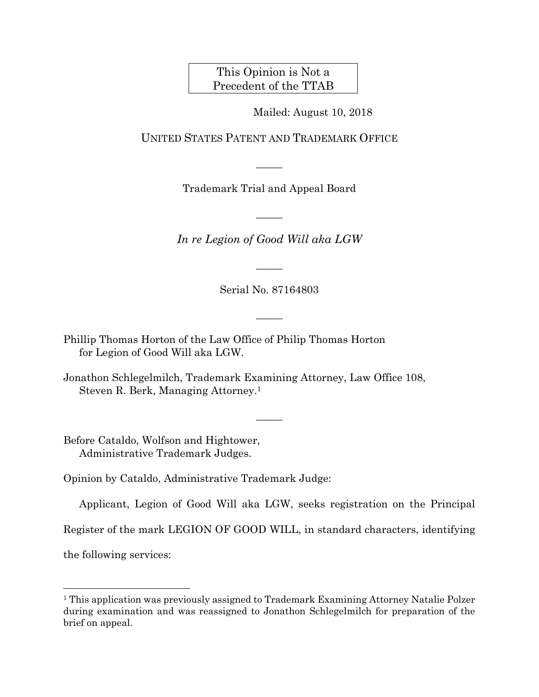This Opinion is Not a Precedent of the TTAB

Mailed: August 10, 2018

UNITED STATES PATENT AND TRADEMARK OFFICE

Trademark Trial and Appeal Board

 $\overline{\phantom{a}}$ 

 $\overline{\phantom{a}}$ 

*In re Legion of Good Will aka LGW* 

Serial No. 87164803

 $\overline{\phantom{a}}$ 

 $\overline{\phantom{a}}$ 

 $\overline{\phantom{a}}$ 

Phillip Thomas Horton of the Law Office of Philip Thomas Horton for Legion of Good Will aka LGW.

Jonathon Schlegelmilch, Trademark Examining Attorney, Law Office 108, Steven R. Berk, Managing Attorney.1

Before Cataldo, Wolfson and Hightower, Administrative Trademark Judges.

Opinion by Cataldo, Administrative Trademark Judge:

Applicant, Legion of Good Will aka LGW, seeks registration on the Principal

Register of the mark LEGION OF GOOD WILL, in standard characters, identifying

the following services:

l

<sup>&</sup>lt;sup>1</sup> This application was previously assigned to Trademark Examining Attorney Natalie Polzer during examination and was reassigned to Jonathon Schlegelmilch for preparation of the brief on appeal.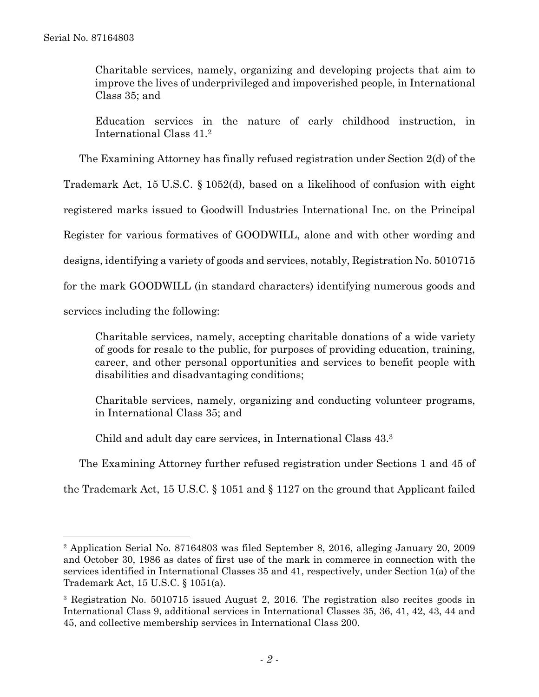Charitable services, namely, organizing and developing projects that aim to improve the lives of underprivileged and impoverished people, in International Class 35; and

Education services in the nature of early childhood instruction, in International Class 41.2

The Examining Attorney has finally refused registration under Section 2(d) of the

Trademark Act, 15 U.S.C. § 1052(d), based on a likelihood of confusion with eight

registered marks issued to Goodwill Industries International Inc. on the Principal

Register for various formatives of GOODWILL, alone and with other wording and

designs, identifying a variety of goods and services, notably, Registration No. 5010715

for the mark GOODWILL (in standard characters) identifying numerous goods and

services including the following:

 $\overline{a}$ 

Charitable services, namely, accepting charitable donations of a wide variety of goods for resale to the public, for purposes of providing education, training, career, and other personal opportunities and services to benefit people with disabilities and disadvantaging conditions;

Charitable services, namely, organizing and conducting volunteer programs, in International Class 35; and

Child and adult day care services, in International Class 43.3

The Examining Attorney further refused registration under Sections 1 and 45 of

the Trademark Act, 15 U.S.C. § 1051 and § 1127 on the ground that Applicant failed

<sup>2</sup> Application Serial No. 87164803 was filed September 8, 2016, alleging January 20, 2009 and October 30, 1986 as dates of first use of the mark in commerce in connection with the services identified in International Classes 35 and 41, respectively, under Section 1(a) of the Trademark Act, 15 U.S.C. § 1051(a).

<sup>3</sup> Registration No. 5010715 issued August 2, 2016. The registration also recites goods in International Class 9, additional services in International Classes 35, 36, 41, 42, 43, 44 and 45, and collective membership services in International Class 200.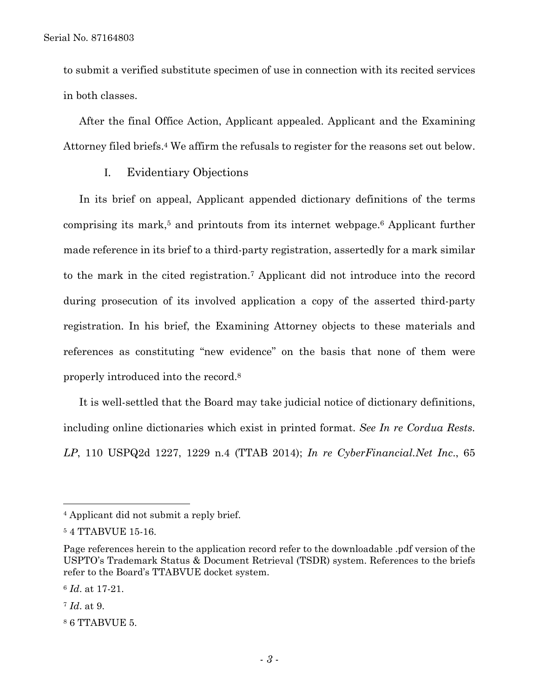to submit a verified substitute specimen of use in connection with its recited services in both classes.

After the final Office Action, Applicant appealed. Applicant and the Examining Attorney filed briefs.4 We affirm the refusals to register for the reasons set out below.

I. Evidentiary Objections

In its brief on appeal, Applicant appended dictionary definitions of the terms comprising its mark,<sup>5</sup> and printouts from its internet webpage.<sup>6</sup> Applicant further made reference in its brief to a third-party registration, assertedly for a mark similar to the mark in the cited registration.7 Applicant did not introduce into the record during prosecution of its involved application a copy of the asserted third-party registration. In his brief, the Examining Attorney objects to these materials and references as constituting "new evidence" on the basis that none of them were properly introduced into the record.8

It is well-settled that the Board may take judicial notice of dictionary definitions, including online dictionaries which exist in printed format. *See In re Cordua Rests. LP*, 110 USPQ2d 1227, 1229 n.4 (TTAB 2014); *In re CyberFinancial.Net Inc*., 65

<sup>4</sup> Applicant did not submit a reply brief.

<sup>5 4</sup> TTABVUE 15-16.

Page references herein to the application record refer to the downloadable .pdf version of the USPTO's Trademark Status & Document Retrieval (TSDR) system. References to the briefs refer to the Board's TTABVUE docket system.

<sup>6</sup> *Id*. at 17-21.

<sup>7</sup> *Id*. at 9.

<sup>8 6</sup> TTABVUE 5.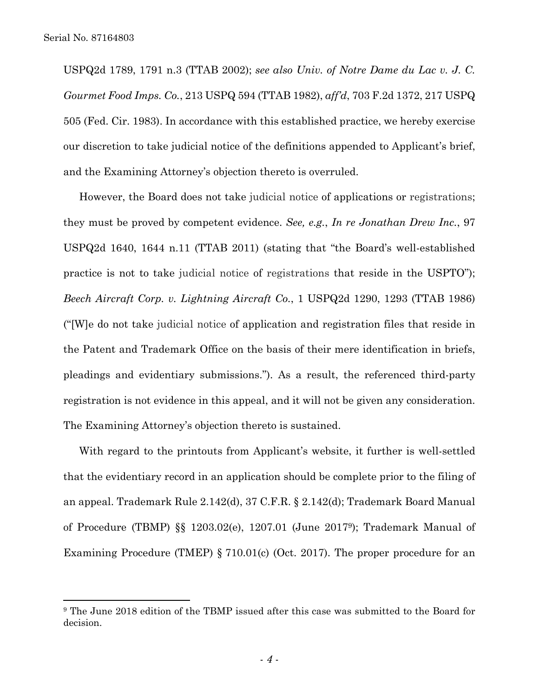$\overline{a}$ 

USPQ2d 1789, 1791 n.3 (TTAB 2002); *see also Univ. of Notre Dame du Lac v. J. C. Gourmet Food Imps. Co.*, 213 USPQ 594 (TTAB 1982), *aff'd*, 703 F.2d 1372, 217 USPQ 505 (Fed. Cir. 1983). In accordance with this established practice, we hereby exercise our discretion to take judicial notice of the definitions appended to Applicant's brief, and the Examining Attorney's objection thereto is overruled.

However, the Board does not take judicial notice of applications or registrations; they must be proved by competent evidence. *See, e.g.*, *In re Jonathan Drew Inc.*, 97 USPQ2d 1640, 1644 n.11 (TTAB 2011) (stating that "the Board's well-established practice is not to take judicial notice of registrations that reside in the USPTO"); *Beech Aircraft Corp. v. Lightning Aircraft Co.*, 1 USPQ2d 1290, 1293 (TTAB 1986) ("[W]e do not take judicial notice of application and registration files that reside in the Patent and Trademark Office on the basis of their mere identification in briefs, pleadings and evidentiary submissions."). As a result, the referenced third-party registration is not evidence in this appeal, and it will not be given any consideration. The Examining Attorney's objection thereto is sustained.

With regard to the printouts from Applicant's website, it further is well-settled that the evidentiary record in an application should be complete prior to the filing of an appeal. Trademark Rule 2.142(d), 37 C.F.R. § 2.142(d); Trademark Board Manual of Procedure (TBMP) §§ 1203.02(e), 1207.01 (June 20179); Trademark Manual of Examining Procedure (TMEP) § 710.01(c) (Oct. 2017). The proper procedure for an

<sup>9</sup> The June 2018 edition of the TBMP issued after this case was submitted to the Board for decision.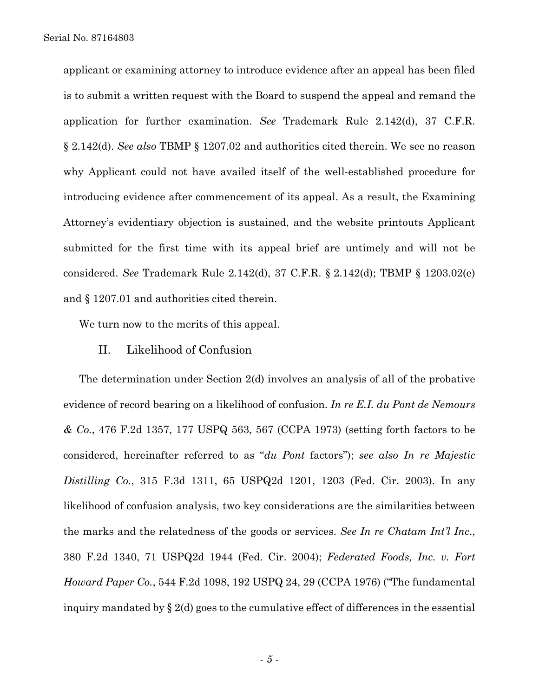applicant or examining attorney to introduce evidence after an appeal has been filed is to submit a written request with the Board to suspend the appeal and remand the application for further examination. *See* Trademark Rule 2.142(d), 37 C.F.R. § 2.142(d). *See also* TBMP § 1207.02 and authorities cited therein. We see no reason why Applicant could not have availed itself of the well-established procedure for introducing evidence after commencement of its appeal. As a result, the Examining Attorney's evidentiary objection is sustained, and the website printouts Applicant submitted for the first time with its appeal brief are untimely and will not be considered. *See* Trademark Rule 2.142(d), 37 C.F.R. § 2.142(d); TBMP § 1203.02(e) and § 1207.01 and authorities cited therein.

We turn now to the merits of this appeal.

# II. Likelihood of Confusion

The determination under Section 2(d) involves an analysis of all of the probative evidence of record bearing on a likelihood of confusion. *In re E.I. du Pont de Nemours & Co.*, 476 F.2d 1357, 177 USPQ 563, 567 (CCPA 1973) (setting forth factors to be considered, hereinafter referred to as "*du Pont* factors"); *see also In re Majestic Distilling Co.*, 315 F.3d 1311, 65 USPQ2d 1201, 1203 (Fed. Cir. 2003). In any likelihood of confusion analysis, two key considerations are the similarities between the marks and the relatedness of the goods or services. *See In re Chatam Int'l Inc*., 380 F.2d 1340, 71 USPQ2d 1944 (Fed. Cir. 2004); *Federated Foods, Inc. v. Fort Howard Paper Co.*, 544 F.2d 1098, 192 USPQ 24, 29 (CCPA 1976) ("The fundamental inquiry mandated by  $\S 2(d)$  goes to the cumulative effect of differences in the essential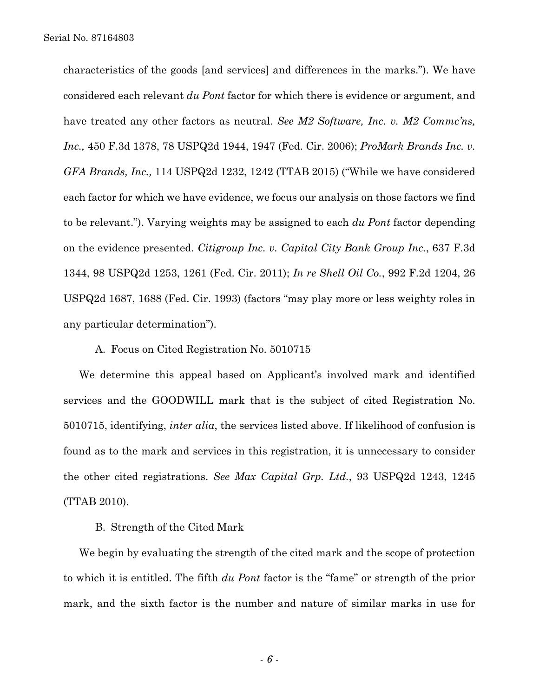characteristics of the goods [and services] and differences in the marks."). We have considered each relevant *du Pont* factor for which there is evidence or argument, and have treated any other factors as neutral. *See M2 Software, Inc. v. M2 Commc'ns, Inc.,* 450 F.3d 1378, 78 USPQ2d 1944, 1947 (Fed. Cir. 2006); *ProMark Brands Inc. v. GFA Brands, Inc.,* 114 USPQ2d 1232, 1242 (TTAB 2015) ("While we have considered each factor for which we have evidence, we focus our analysis on those factors we find to be relevant."). Varying weights may be assigned to each *du Pont* factor depending on the evidence presented. *Citigroup Inc. v. Capital City Bank Group Inc.*, 637 F.3d 1344, 98 USPQ2d 1253, 1261 (Fed. Cir. 2011); *In re Shell Oil Co.*, 992 F.2d 1204, 26 USPQ2d 1687, 1688 (Fed. Cir. 1993) (factors "may play more or less weighty roles in any particular determination").

#### A. Focus on Cited Registration No. 5010715

We determine this appeal based on Applicant's involved mark and identified services and the GOODWILL mark that is the subject of cited Registration No. 5010715, identifying, *inter alia*, the services listed above. If likelihood of confusion is found as to the mark and services in this registration, it is unnecessary to consider the other cited registrations. *See Max Capital Grp. Ltd.*, 93 USPQ2d 1243, 1245 (TTAB 2010).

# B. Strength of the Cited Mark

We begin by evaluating the strength of the cited mark and the scope of protection to which it is entitled. The fifth *du Pont* factor is the "fame" or strength of the prior mark, and the sixth factor is the number and nature of similar marks in use for

- *6* -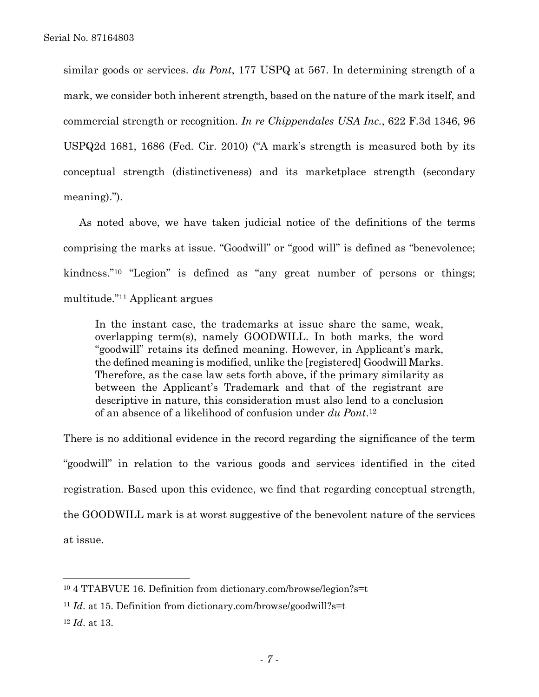similar goods or services. *du Pont*, 177 USPQ at 567. In determining strength of a mark, we consider both inherent strength, based on the nature of the mark itself, and commercial strength or recognition. *In re Chippendales USA Inc.*, 622 F.3d 1346, 96 USPQ2d 1681, 1686 (Fed. Cir. 2010) ("A mark's strength is measured both by its conceptual strength (distinctiveness) and its marketplace strength (secondary meaning).").

As noted above, we have taken judicial notice of the definitions of the terms comprising the marks at issue. "Goodwill" or "good will" is defined as "benevolence; kindness."10 "Legion" is defined as "any great number of persons or things; multitude."11 Applicant argues

In the instant case, the trademarks at issue share the same, weak, overlapping term(s), namely GOODWILL. In both marks, the word "goodwill" retains its defined meaning. However, in Applicant's mark, the defined meaning is modified, unlike the [registered] Goodwill Marks. Therefore, as the case law sets forth above, if the primary similarity as between the Applicant's Trademark and that of the registrant are descriptive in nature, this consideration must also lend to a conclusion of an absence of a likelihood of confusion under *du Pont*.12

There is no additional evidence in the record regarding the significance of the term "goodwill" in relation to the various goods and services identified in the cited registration. Based upon this evidence, we find that regarding conceptual strength, the GOODWILL mark is at worst suggestive of the benevolent nature of the services at issue.

l

<sup>10 4</sup> TTABVUE 16. Definition from dictionary.com/browse/legion?s=t

<sup>&</sup>lt;sup>11</sup> *Id.* at 15. Definition from dictionary.com/browse/goodwill?s=t

<sup>12</sup> *Id*. at 13.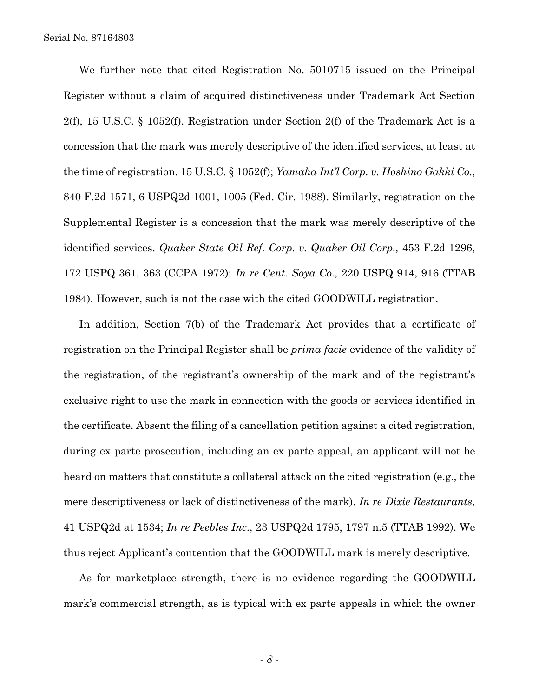We further note that cited Registration No. 5010715 issued on the Principal Register without a claim of acquired distinctiveness under Trademark Act Section 2(f), 15 U.S.C. § 1052(f). Registration under Section 2(f) of the Trademark Act is a concession that the mark was merely descriptive of the identified services, at least at the time of registration. 15 U.S.C. § 1052(f); *Yamaha Int'l Corp. v. Hoshino Gakki Co.*, 840 F.2d 1571, 6 USPQ2d 1001, 1005 (Fed. Cir. 1988). Similarly, registration on the Supplemental Register is a concession that the mark was merely descriptive of the identified services. *Quaker State Oil Ref. Corp. v. Quaker Oil Corp.,* 453 F.2d 1296, 172 USPQ 361, 363 (CCPA 1972); *In re Cent. Soya Co.,* 220 USPQ 914, 916 (TTAB 1984). However, such is not the case with the cited GOODWILL registration.

In addition, Section 7(b) of the Trademark Act provides that a certificate of registration on the Principal Register shall be *prima facie* evidence of the validity of the registration, of the registrant's ownership of the mark and of the registrant's exclusive right to use the mark in connection with the goods or services identified in the certificate. Absent the filing of a cancellation petition against a cited registration, during ex parte prosecution, including an ex parte appeal, an applicant will not be heard on matters that constitute a collateral attack on the cited registration (e.g., the mere descriptiveness or lack of distinctiveness of the mark). *In re Dixie Restaurants*, 41 USPQ2d at 1534; *In re Peebles Inc*., 23 USPQ2d 1795, 1797 n.5 (TTAB 1992). We thus reject Applicant's contention that the GOODWILL mark is merely descriptive.

As for marketplace strength, there is no evidence regarding the GOODWILL mark's commercial strength, as is typical with ex parte appeals in which the owner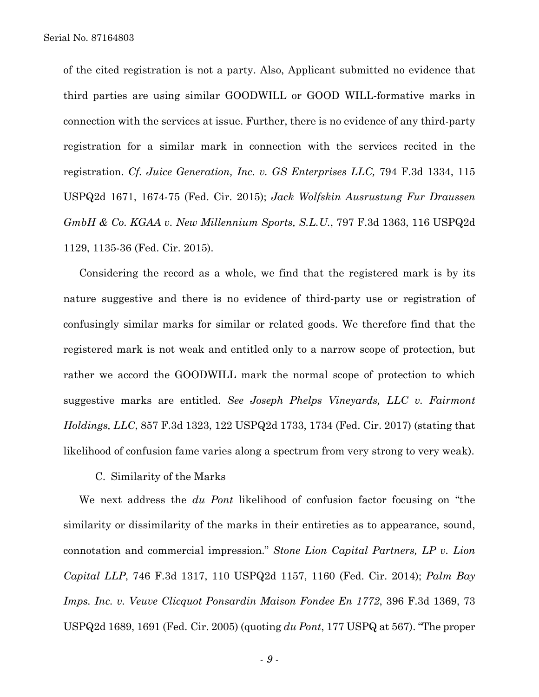of the cited registration is not a party. Also, Applicant submitted no evidence that third parties are using similar GOODWILL or GOOD WILL-formative marks in connection with the services at issue. Further, there is no evidence of any third-party registration for a similar mark in connection with the services recited in the registration. *Cf. Juice Generation, Inc. v. GS Enterprises LLC,* 794 F.3d 1334, 115 USPQ2d 1671, 1674-75 (Fed. Cir. 2015); *Jack Wolfskin Ausrustung Fur Draussen GmbH & Co. KGAA v. New Millennium Sports, S.L.U.*, 797 F.3d 1363, 116 USPQ2d 1129, 1135-36 (Fed. Cir. 2015).

Considering the record as a whole, we find that the registered mark is by its nature suggestive and there is no evidence of third-party use or registration of confusingly similar marks for similar or related goods. We therefore find that the registered mark is not weak and entitled only to a narrow scope of protection, but rather we accord the GOODWILL mark the normal scope of protection to which suggestive marks are entitled. *See Joseph Phelps Vineyards, LLC v. Fairmont Holdings, LLC*, 857 F.3d 1323, 122 USPQ2d 1733, 1734 (Fed. Cir. 2017) (stating that likelihood of confusion fame varies along a spectrum from very strong to very weak).

C. Similarity of the Marks

We next address the *du Pont* likelihood of confusion factor focusing on "the similarity or dissimilarity of the marks in their entireties as to appearance, sound, connotation and commercial impression." *Stone Lion Capital Partners, LP v. Lion Capital LLP*, 746 F.3d 1317, 110 USPQ2d 1157, 1160 (Fed. Cir. 2014); *Palm Bay Imps. Inc. v. Veuve Clicquot Ponsardin Maison Fondee En 1772*, 396 F.3d 1369, 73 USPQ2d 1689, 1691 (Fed. Cir. 2005) (quoting *du Pont*, 177 USPQ at 567). "The proper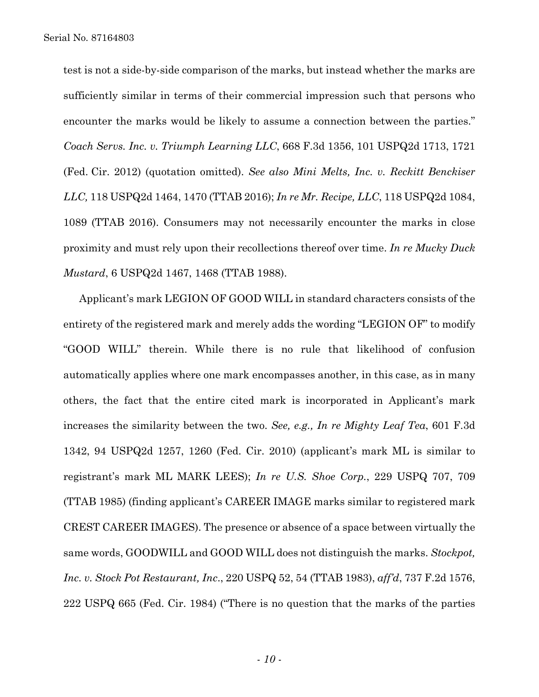test is not a side-by-side comparison of the marks, but instead whether the marks are sufficiently similar in terms of their commercial impression such that persons who encounter the marks would be likely to assume a connection between the parties." *Coach Servs. Inc. v. Triumph Learning LLC*, 668 F.3d 1356, 101 USPQ2d 1713, 1721 (Fed. Cir. 2012) (quotation omitted). *See also Mini Melts, Inc. v. Reckitt Benckiser LLC,* 118 USPQ2d 1464, 1470 (TTAB 2016); *In re Mr. Recipe, LLC*, 118 USPQ2d 1084, 1089 (TTAB 2016). Consumers may not necessarily encounter the marks in close proximity and must rely upon their recollections thereof over time. *In re Mucky Duck Mustard*, 6 USPQ2d 1467, 1468 (TTAB 1988).

Applicant's mark LEGION OF GOOD WILL in standard characters consists of the entirety of the registered mark and merely adds the wording "LEGION OF" to modify "GOOD WILL" therein. While there is no rule that likelihood of confusion automatically applies where one mark encompasses another, in this case, as in many others, the fact that the entire cited mark is incorporated in Applicant's mark increases the similarity between the two. *See, e.g., In re Mighty Leaf Tea*, 601 F.3d 1342, 94 USPQ2d 1257, 1260 (Fed. Cir. 2010) (applicant's mark ML is similar to registrant's mark ML MARK LEES); *In re U.S. Shoe Corp.*, 229 USPQ 707, 709 (TTAB 1985) (finding applicant's CAREER IMAGE marks similar to registered mark CREST CAREER IMAGES). The presence or absence of a space between virtually the same words, GOODWILL and GOOD WILL does not distinguish the marks. *Stockpot, Inc. v. Stock Pot Restaurant, Inc*., 220 USPQ 52, 54 (TTAB 1983), *aff'd*, 737 F.2d 1576, 222 USPQ 665 (Fed. Cir. 1984) ("There is no question that the marks of the parties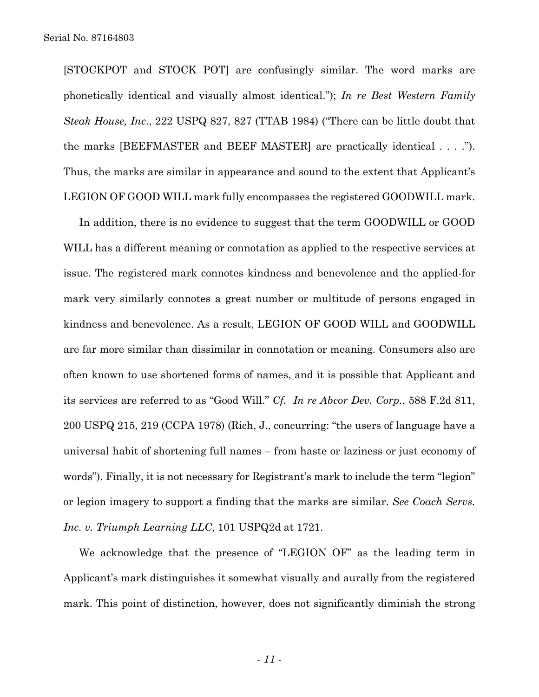[STOCKPOT and STOCK POT] are confusingly similar. The word marks are phonetically identical and visually almost identical."); *In re Best Western Family Steak House, Inc*., 222 USPQ 827, 827 (TTAB 1984) ("There can be little doubt that the marks [BEEFMASTER and BEEF MASTER] are practically identical . . . ."). Thus, the marks are similar in appearance and sound to the extent that Applicant's LEGION OF GOOD WILL mark fully encompasses the registered GOODWILL mark.

In addition, there is no evidence to suggest that the term GOODWILL or GOOD WILL has a different meaning or connotation as applied to the respective services at issue. The registered mark connotes kindness and benevolence and the applied-for mark very similarly connotes a great number or multitude of persons engaged in kindness and benevolence. As a result, LEGION OF GOOD WILL and GOODWILL are far more similar than dissimilar in connotation or meaning. Consumers also are often known to use shortened forms of names, and it is possible that Applicant and its services are referred to as "Good Will." *Cf. In re Abcor Dev. Corp.*, 588 F.2d 811, 200 USPQ 215, 219 (CCPA 1978) (Rich, J., concurring: "the users of language have a universal habit of shortening full names – from haste or laziness or just economy of words"). Finally, it is not necessary for Registrant's mark to include the term "legion" or legion imagery to support a finding that the marks are similar. *See Coach Servs. Inc. v. Triumph Learning LLC*, 101 USPQ2d at 1721.

We acknowledge that the presence of "LEGION OF" as the leading term in Applicant's mark distinguishes it somewhat visually and aurally from the registered mark. This point of distinction, however, does not significantly diminish the strong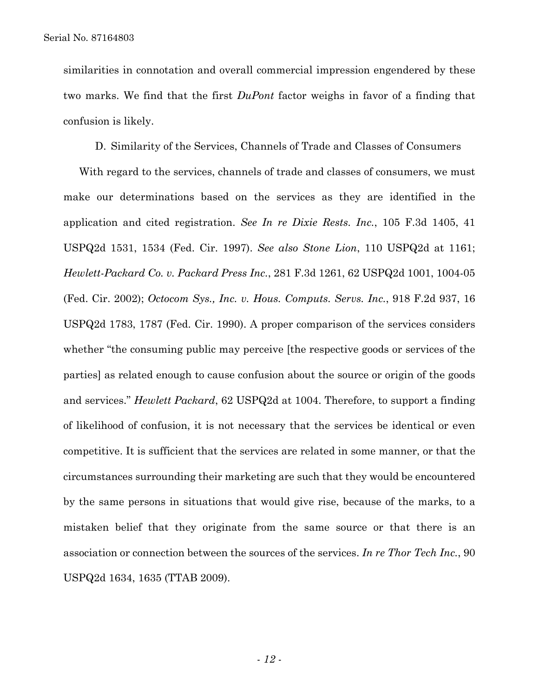similarities in connotation and overall commercial impression engendered by these two marks. We find that the first *DuPont* factor weighs in favor of a finding that confusion is likely.

D. Similarity of the Services, Channels of Trade and Classes of Consumers

With regard to the services, channels of trade and classes of consumers, we must make our determinations based on the services as they are identified in the application and cited registration. *See In re Dixie Rests. Inc.*, 105 F.3d 1405, 41 USPQ2d 1531, 1534 (Fed. Cir. 1997). *See also Stone Lion*, 110 USPQ2d at 1161; *Hewlett-Packard Co. v. Packard Press Inc.*, 281 F.3d 1261, 62 USPQ2d 1001, 1004-05 (Fed. Cir. 2002); *Octocom Sys., Inc. v. Hous. Computs. Servs. Inc.*, 918 F.2d 937, 16 USPQ2d 1783, 1787 (Fed. Cir. 1990). A proper comparison of the services considers whether "the consuming public may perceive [the respective goods or services of the parties] as related enough to cause confusion about the source or origin of the goods and services." *Hewlett Packard*, 62 USPQ2d at 1004. Therefore, to support a finding of likelihood of confusion, it is not necessary that the services be identical or even competitive. It is sufficient that the services are related in some manner, or that the circumstances surrounding their marketing are such that they would be encountered by the same persons in situations that would give rise, because of the marks, to a mistaken belief that they originate from the same source or that there is an association or connection between the sources of the services. *In re Thor Tech Inc.*, 90 USPQ2d 1634, 1635 (TTAB 2009).

- *12* -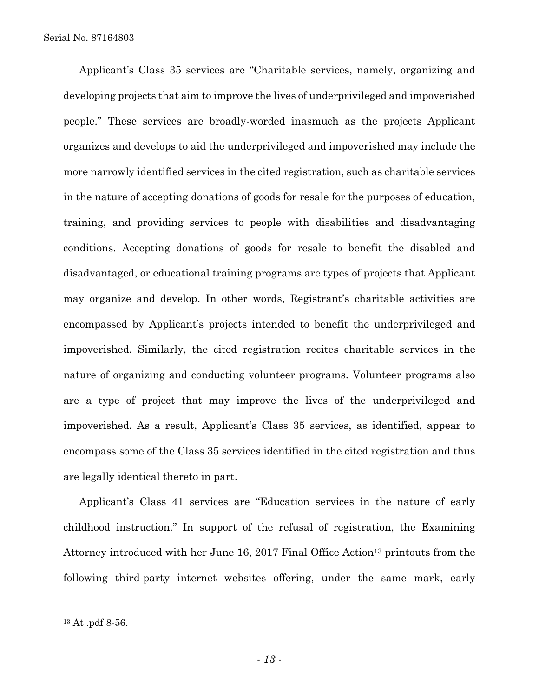Applicant's Class 35 services are "Charitable services, namely, organizing and developing projects that aim to improve the lives of underprivileged and impoverished people." These services are broadly-worded inasmuch as the projects Applicant organizes and develops to aid the underprivileged and impoverished may include the more narrowly identified services in the cited registration, such as charitable services in the nature of accepting donations of goods for resale for the purposes of education, training, and providing services to people with disabilities and disadvantaging conditions. Accepting donations of goods for resale to benefit the disabled and disadvantaged, or educational training programs are types of projects that Applicant may organize and develop. In other words, Registrant's charitable activities are encompassed by Applicant's projects intended to benefit the underprivileged and impoverished. Similarly, the cited registration recites charitable services in the nature of organizing and conducting volunteer programs. Volunteer programs also are a type of project that may improve the lives of the underprivileged and impoverished. As a result, Applicant's Class 35 services, as identified, appear to encompass some of the Class 35 services identified in the cited registration and thus are legally identical thereto in part.

Applicant's Class 41 services are "Education services in the nature of early childhood instruction." In support of the refusal of registration, the Examining Attorney introduced with her June 16, 2017 Final Office Action<sup>13</sup> printouts from the following third-party internet websites offering, under the same mark, early

<sup>13</sup> At .pdf 8-56.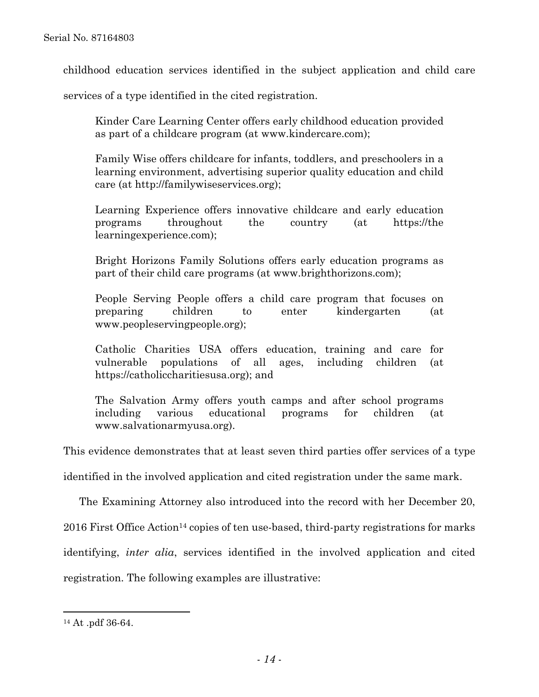childhood education services identified in the subject application and child care

services of a type identified in the cited registration.

Kinder Care Learning Center offers early childhood education provided as part of a childcare program (at www.kindercare.com);

Family Wise offers childcare for infants, toddlers, and preschoolers in a learning environment, advertising superior quality education and child care (at http://familywiseservices.org);

Learning Experience offers innovative childcare and early education programs throughout the country (at https://the learningexperience.com);

Bright Horizons Family Solutions offers early education programs as part of their child care programs (at www.brighthorizons.com);

People Serving People offers a child care program that focuses on preparing children to enter kindergarten (at www.peopleservingpeople.org);

Catholic Charities USA offers education, training and care for vulnerable populations of all ages, including children (at https://catholiccharitiesusa.org); and

The Salvation Army offers youth camps and after school programs including various educational programs for children (at www.salvationarmyusa.org).

This evidence demonstrates that at least seven third parties offer services of a type

identified in the involved application and cited registration under the same mark.

The Examining Attorney also introduced into the record with her December 20,

2016 First Office Action<sup>14</sup> copies of ten use-based, third-party registrations for marks

identifying, *inter alia*, services identified in the involved application and cited

registration. The following examples are illustrative:

<sup>14</sup> At .pdf 36-64.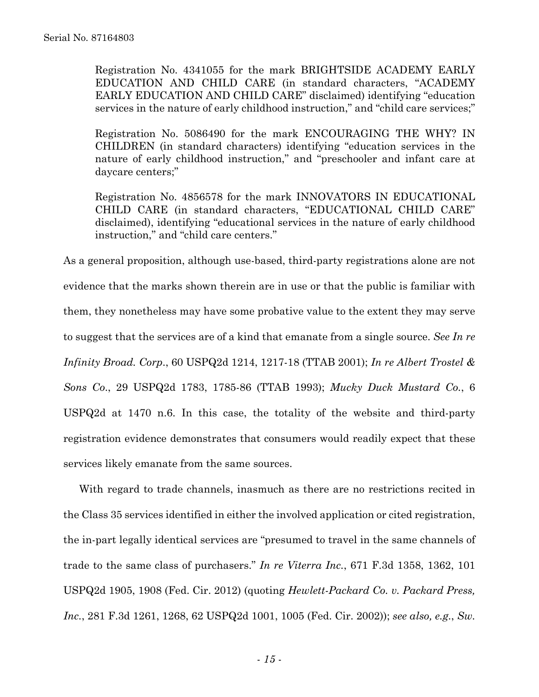Registration No. 4341055 for the mark BRIGHTSIDE ACADEMY EARLY EDUCATION AND CHILD CARE (in standard characters, "ACADEMY EARLY EDUCATION AND CHILD CARE" disclaimed) identifying "education services in the nature of early childhood instruction," and "child care services;"

Registration No. 5086490 for the mark ENCOURAGING THE WHY? IN CHILDREN (in standard characters) identifying "education services in the nature of early childhood instruction," and "preschooler and infant care at daycare centers;"

Registration No. 4856578 for the mark INNOVATORS IN EDUCATIONAL CHILD CARE (in standard characters, "EDUCATIONAL CHILD CARE" disclaimed), identifying "educational services in the nature of early childhood instruction," and "child care centers."

As a general proposition, although use-based, third-party registrations alone are not evidence that the marks shown therein are in use or that the public is familiar with them, they nonetheless may have some probative value to the extent they may serve to suggest that the services are of a kind that emanate from a single source. *See In re Infinity Broad. Corp*., 60 USPQ2d 1214, 1217-18 (TTAB 2001); *In re Albert Trostel & Sons Co*., 29 USPQ2d 1783, 1785-86 (TTAB 1993); *Mucky Duck Mustard Co.*, 6 USPQ2d at 1470 n.6. In this case, the totality of the website and third-party registration evidence demonstrates that consumers would readily expect that these services likely emanate from the same sources.

With regard to trade channels, inasmuch as there are no restrictions recited in the Class 35 services identified in either the involved application or cited registration, the in-part legally identical services are "presumed to travel in the same channels of trade to the same class of purchasers." *In re Viterra Inc.*, 671 F.3d 1358, 1362, 101 USPQ2d 1905, 1908 (Fed. Cir. 2012) (quoting *Hewlett-Packard Co. v. Packard Press, Inc.*, 281 F.3d 1261, 1268, 62 USPQ2d 1001, 1005 (Fed. Cir. 2002)); *see also, e.g.*, *Sw.*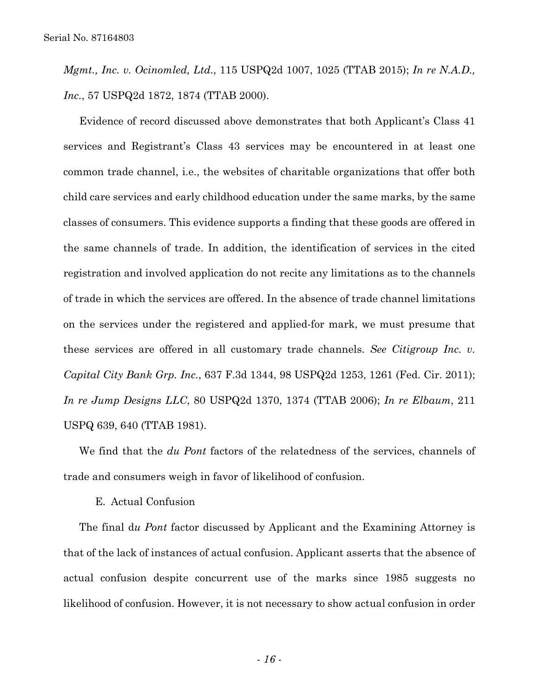*Mgmt., Inc. v. Ocinomled, Ltd.*, 115 USPQ2d 1007, 1025 (TTAB 2015); *In re N.A.D., Inc.*, 57 USPQ2d 1872, 1874 (TTAB 2000).

Evidence of record discussed above demonstrates that both Applicant's Class 41 services and Registrant's Class 43 services may be encountered in at least one common trade channel, i.e., the websites of charitable organizations that offer both child care services and early childhood education under the same marks, by the same classes of consumers. This evidence supports a finding that these goods are offered in the same channels of trade. In addition, the identification of services in the cited registration and involved application do not recite any limitations as to the channels of trade in which the services are offered. In the absence of trade channel limitations on the services under the registered and applied-for mark, we must presume that these services are offered in all customary trade channels. *See Citigroup Inc. v. Capital City Bank Grp. Inc.*, 637 F.3d 1344, 98 USPQ2d 1253, 1261 (Fed. Cir. 2011); *In re Jump Designs LLC*, 80 USPQ2d 1370, 1374 (TTAB 2006); *In re Elbaum*, 211 USPQ 639, 640 (TTAB 1981).

We find that the *du Pont* factors of the relatedness of the services, channels of trade and consumers weigh in favor of likelihood of confusion.

# E. Actual Confusion

The final d*u Pont* factor discussed by Applicant and the Examining Attorney is that of the lack of instances of actual confusion. Applicant asserts that the absence of actual confusion despite concurrent use of the marks since 1985 suggests no likelihood of confusion. However, it is not necessary to show actual confusion in order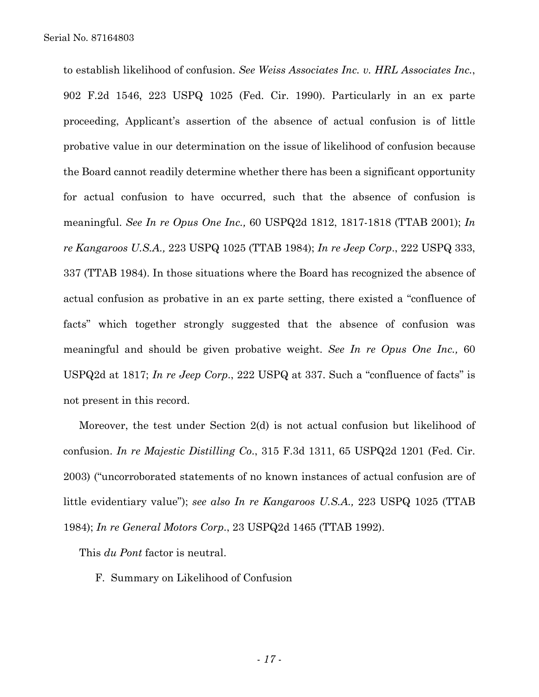to establish likelihood of confusion. *See Weiss Associates Inc. v. HRL Associates Inc.*, 902 F.2d 1546, 223 USPQ 1025 (Fed. Cir. 1990). Particularly in an ex parte proceeding, Applicant's assertion of the absence of actual confusion is of little probative value in our determination on the issue of likelihood of confusion because the Board cannot readily determine whether there has been a significant opportunity for actual confusion to have occurred, such that the absence of confusion is meaningful. *See In re Opus One Inc.,* 60 USPQ2d 1812, 1817-1818 (TTAB 2001); *In re Kangaroos U.S.A.,* 223 USPQ 1025 (TTAB 1984); *In re Jeep Corp*., 222 USPQ 333, 337 (TTAB 1984). In those situations where the Board has recognized the absence of actual confusion as probative in an ex parte setting, there existed a "confluence of facts" which together strongly suggested that the absence of confusion was meaningful and should be given probative weight. *See In re Opus One Inc.,* 60 USPQ2d at 1817; *In re Jeep Corp*., 222 USPQ at 337. Such a "confluence of facts" is not present in this record.

Moreover, the test under Section 2(d) is not actual confusion but likelihood of confusion. *In re Majestic Distilling Co*., 315 F.3d 1311, 65 USPQ2d 1201 (Fed. Cir. 2003) ("uncorroborated statements of no known instances of actual confusion are of little evidentiary value"); *see also In re Kangaroos U.S.A.,* 223 USPQ 1025 (TTAB 1984); *In re General Motors Corp*., 23 USPQ2d 1465 (TTAB 1992).

This *du Pont* factor is neutral.

F. Summary on Likelihood of Confusion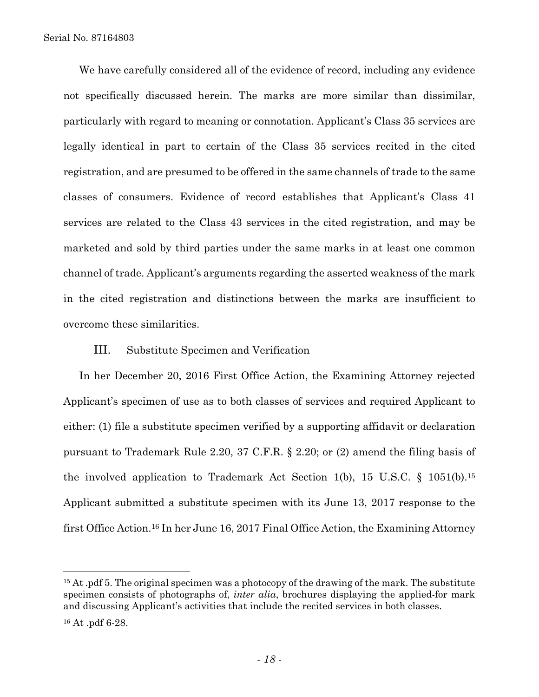We have carefully considered all of the evidence of record, including any evidence not specifically discussed herein. The marks are more similar than dissimilar, particularly with regard to meaning or connotation. Applicant's Class 35 services are legally identical in part to certain of the Class 35 services recited in the cited registration, and are presumed to be offered in the same channels of trade to the same classes of consumers. Evidence of record establishes that Applicant's Class 41 services are related to the Class 43 services in the cited registration, and may be marketed and sold by third parties under the same marks in at least one common channel of trade. Applicant's arguments regarding the asserted weakness of the mark in the cited registration and distinctions between the marks are insufficient to overcome these similarities.

# III. Substitute Specimen and Verification

In her December 20, 2016 First Office Action, the Examining Attorney rejected Applicant's specimen of use as to both classes of services and required Applicant to either: (1) file a substitute specimen verified by a supporting affidavit or declaration pursuant to Trademark Rule 2.20, 37 C.F.R. § 2.20; or (2) amend the filing basis of the involved application to Trademark Act Section 1(b), 15 U.S.C. § 1051(b).15 Applicant submitted a substitute specimen with its June 13, 2017 response to the first Office Action.16 In her June 16, 2017 Final Office Action, the Examining Attorney

<sup>&</sup>lt;sup>15</sup> At .pdf 5. The original specimen was a photocopy of the drawing of the mark. The substitute specimen consists of photographs of, *inter alia*, brochures displaying the applied-for mark and discussing Applicant's activities that include the recited services in both classes.

<sup>16</sup> At .pdf 6-28.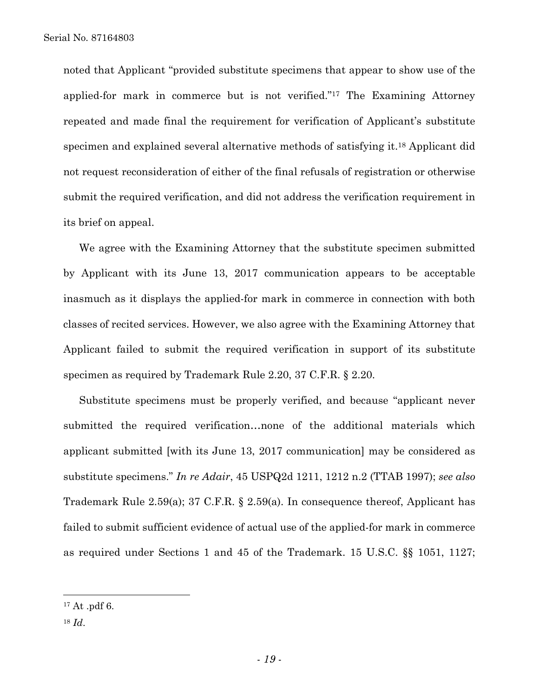noted that Applicant "provided substitute specimens that appear to show use of the applied-for mark in commerce but is not verified."17 The Examining Attorney repeated and made final the requirement for verification of Applicant's substitute specimen and explained several alternative methods of satisfying it.18 Applicant did not request reconsideration of either of the final refusals of registration or otherwise submit the required verification, and did not address the verification requirement in its brief on appeal.

We agree with the Examining Attorney that the substitute specimen submitted by Applicant with its June 13, 2017 communication appears to be acceptable inasmuch as it displays the applied-for mark in commerce in connection with both classes of recited services. However, we also agree with the Examining Attorney that Applicant failed to submit the required verification in support of its substitute specimen as required by Trademark Rule 2.20, 37 C.F.R. § 2.20.

Substitute specimens must be properly verified, and because "applicant never submitted the required verification…none of the additional materials which applicant submitted [with its June 13, 2017 communication] may be considered as substitute specimens." *In re Adair*, 45 USPQ2d 1211, 1212 n.2 (TTAB 1997); *see also*  Trademark Rule 2.59(a); 37 C.F.R. § 2.59(a). In consequence thereof, Applicant has failed to submit sufficient evidence of actual use of the applied-for mark in commerce as required under Sections 1 and 45 of the Trademark. 15 U.S.C. §§ 1051, 1127;

1

<sup>17</sup> At .pdf 6.

<sup>18</sup> *Id*.